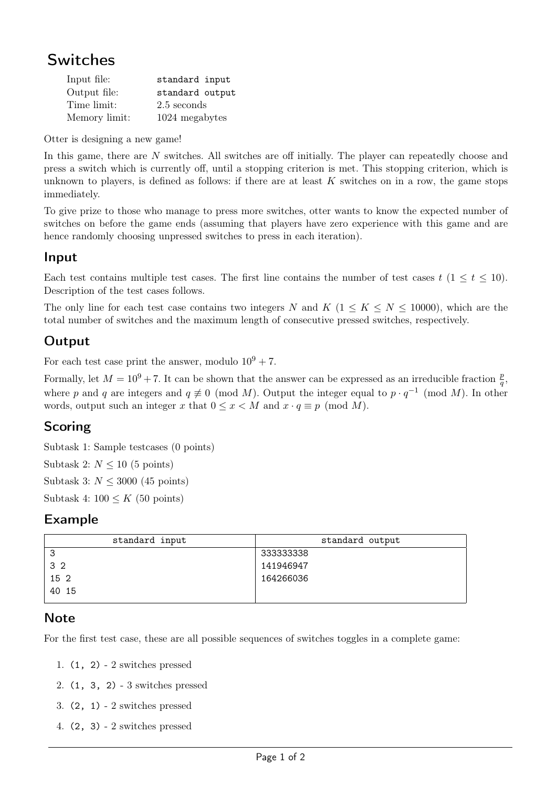# Switches

| Input file:   | standard input  |
|---------------|-----------------|
| Output file:  | standard output |
| Time limit:   | 2.5 seconds     |
| Memory limit: | 1024 megabytes  |

Otter is designing a new game!

In this game, there are N switches. All switches are off initially. The player can repeatedly choose and press a switch which is currently off, until a stopping criterion is met. This stopping criterion, which is unknown to players, is defined as follows: if there are at least  $K$  switches on in a row, the game stops immediately.

To give prize to those who manage to press more switches, otter wants to know the expected number of switches on before the game ends (assuming that players have zero experience with this game and are hence randomly choosing unpressed switches to press in each iteration).

## Input

Each test contains multiple test cases. The first line contains the number of test cases  $t (1 \le t \le 10)$ . Description of the test cases follows.

The only line for each test case contains two integers N and K ( $1 \leq K \leq N \leq 10000$ ), which are the total number of switches and the maximum length of consecutive pressed switches, respectively.

## **Output**

For each test case print the answer, modulo  $10^9 + 7$ .

Formally, let  $M = 10^9 + 7$ . It can be shown that the answer can be expressed as an irreducible fraction  $\frac{p}{q}$ , where p and q are integers and  $q \not\equiv 0 \pmod{M}$ . Output the integer equal to  $p \cdot q^{-1} \pmod{M}$ . In other words, output such an integer x that  $0 \leq x < M$  and  $x \cdot q \equiv p \pmod{M}$ .

## **Scoring**

Subtask 1: Sample testcases (0 points) Subtask 2:  $N < 10$  (5 points)

Subtask 3:  $N \leq 3000$  (45 points)

Subtask 4:  $100 \leq K$  (50 points)

## Example

| standard input | standard output |
|----------------|-----------------|
| 3              | 333333338       |
| 32             | 141946947       |
| 15 2           | 164266036       |
| 40 15          |                 |

## **Note**

For the first test case, these are all possible sequences of switches toggles in a complete game:

- 1. (1, 2) 2 switches pressed
- 2. (1, 3, 2) 3 switches pressed
- 3. (2, 1) 2 switches pressed
- 4. (2, 3) 2 switches pressed